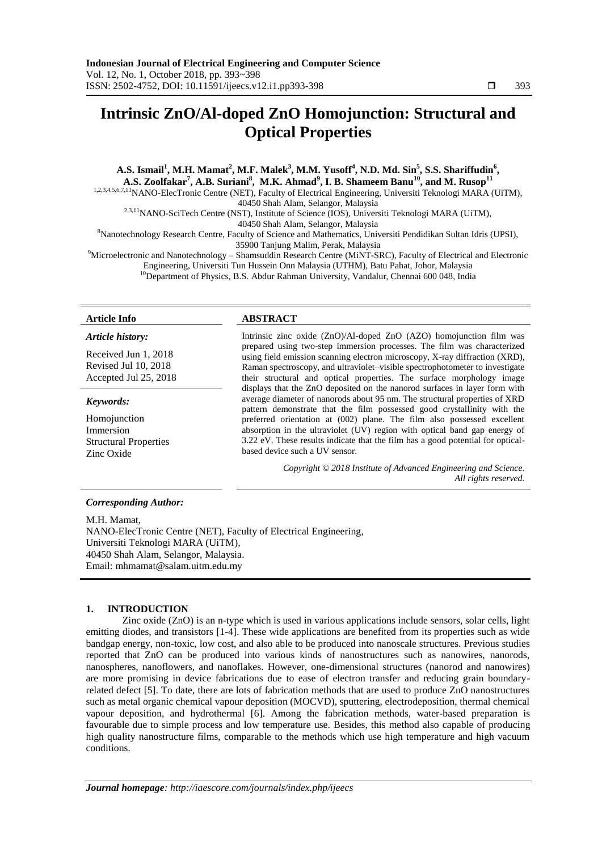# **Intrinsic ZnO/Al-doped ZnO Homojunction: Structural and Optical Properties**

A.S. Ismail<sup>1</sup>, M.H. Mamat<sup>2</sup>, M.F. Malek<sup>3</sup>, M.M. Yusoff<sup>4</sup>, N.D. Md. Sin<sup>5</sup>, S.S. Shariffudin<sup>6</sup>, **A.S. Zoolfakar<sup>7</sup> , A.B. Suriani<sup>8</sup> , M.K. Ahmad<sup>9</sup> , I. B. Shameem Banu<sup>10</sup>, and M. Rusop<sup>11</sup>** 1,2,3,4,5,6,7,11NANO-ElecTronic Centre (NET), Faculty of Electrical Engineering, Universiti Teknologi MARA (UiTM), 40450 Shah Alam, Selangor, Malaysia <sup>2,3,11</sup>NANO-SciTech Centre (NST), Institute of Science (IOS), Universiti Teknologi MARA (UiTM), 40450 Shah Alam, Selangor, Malaysia <sup>8</sup>Nanotechnology Research Centre, Faculty of Science and Mathematics, Universiti Pendidikan Sultan Idris (UPSI), 35900 Tanjung Malim, Perak, Malaysia <sup>9</sup>Microelectronic and Nanotechnology – Shamsuddin Research Centre (MiNT-SRC), Faculty of Electrical and Electronic

Engineering, Universiti Tun Hussein Onn Malaysia (UTHM), Batu Pahat, Johor, Malaysia <sup>10</sup>Department of Physics, B.S. Abdur Rahman University, Vandalur, Chennai 600 048, India

#### *Article history:*

Received Jun 1, 2018 Revised Jul 10, 2018 Accepted Jul 25, 2018

#### *Keywords:*

Homojunction Immersion Structural Properties Zinc Oxide

# *Corresponding Author:*

M.H. Mamat NANO-ElecTronic Centre (NET), Faculty of Electrical Engineering, Universiti Teknologi MARA (UiTM), 40450 Shah Alam, Selangor, Malaysia. Email: mhmamat@salam.uitm.edu.my

#### **1. INTRODUCTION**

Zinc oxide (ZnO) is an n-type which is used in various applications include sensors, solar cells, light emitting diodes, and transistors [\[1-4\]](file:///E:/IAES/IJEECS/Oct%202018/51%2014473%20intrinsic%20peoco2018_84.docx%23_ENREF_1). These wide applications are benefited from its properties such as wide bandgap energy, non-toxic, low cost, and also able to be produced into nanoscale structures. Previous studies reported that ZnO can be produced into various kinds of nanostructures such as nanowires, nanorods, nanospheres, nanoflowers, and nanoflakes. However, one-dimensional structures (nanorod and nanowires) are more promising in device fabrications due to ease of electron transfer and reducing grain boundaryrelated defect [\[5\]](file:///E:/IAES/IJEECS/Oct%202018/51%2014473%20intrinsic%20peoco2018_84.docx%23_ENREF_5). To date, there are lots of fabrication methods that are used to produce ZnO nanostructures such as metal organic chemical vapour deposition (MOCVD), sputtering, electrodeposition, thermal chemical vapour deposition, and hydrothermal [\[6\]](file:///E:/IAES/IJEECS/Oct%202018/51%2014473%20intrinsic%20peoco2018_84.docx%23_ENREF_6). Among the fabrication methods, water-based preparation is favourable due to simple process and low temperature use. Besides, this method also capable of producing high quality nanostructure films, comparable to the methods which use high temperature and high vacuum conditions.

# **Article Info ABSTRACT**

Intrinsic zinc oxide (ZnO)/Al-doped ZnO (AZO) homojunction film was prepared using two-step immersion processes. The film was characterized using field emission scanning electron microscopy, X-ray diffraction (XRD), Raman spectroscopy, and ultraviolet–visible spectrophotometer to investigate their structural and optical properties. The surface morphology image displays that the ZnO deposited on the nanorod surfaces in layer form with average diameter of nanorods about 95 nm. The structural properties of XRD pattern demonstrate that the film possessed good crystallinity with the preferred orientation at (002) plane. The film also possessed excellent absorption in the ultraviolet (UV) region with optical band gap energy of 3.22 eV. These results indicate that the film has a good potential for opticalbased device such a UV sensor.

> *Copyright © 2018 Institute of Advanced Engineering and Science. All rights reserved.*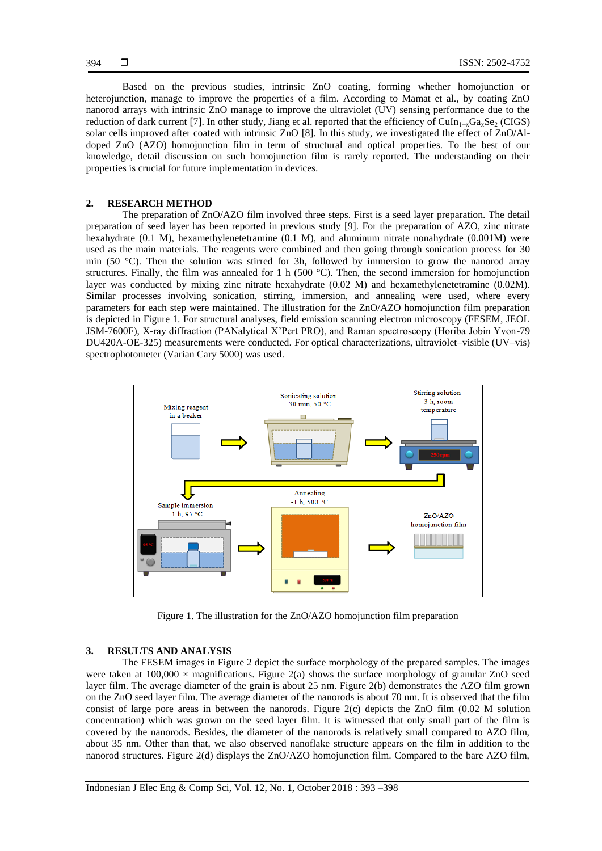Based on the previous studies, intrinsic ZnO coating, forming whether homojunction or heterojunction, manage to improve the properties of a film. According to Mamat et al., by coating ZnO nanorod arrays with intrinsic ZnO manage to improve the ultraviolet (UV) sensing performance due to the reduction of dark current [\[7\]](file:///E:/IAES/IJEECS/Oct%202018/51%2014473%20intrinsic%20peoco2018_84.docx%23_ENREF_7). In other study, Jiang et al. reported that the efficiency of CuIn<sub>1</sub><sub>x</sub>Ga<sub>x</sub>Se<sub>2</sub> (CIGS) solar cells improved after coated with intrinsic ZnO [\[8\]](file:///E:/IAES/IJEECS/Oct%202018/51%2014473%20intrinsic%20peoco2018_84.docx%23_ENREF_8). In this study, we investigated the effect of ZnO/Aldoped ZnO (AZO) homojunction film in term of structural and optical properties. To the best of our knowledge, detail discussion on such homojunction film is rarely reported. The understanding on their properties is crucial for future implementation in devices.

# **2. RESEARCH METHOD**

The preparation of ZnO/AZO film involved three steps. First is a seed layer preparation. The detail preparation of seed layer has been reported in previous study [\[9\]](file:///E:/IAES/IJEECS/Oct%202018/51%2014473%20intrinsic%20peoco2018_84.docx%23_ENREF_9). For the preparation of AZO, zinc nitrate hexahydrate (0.1 M), hexamethylenetetramine (0.1 M), and aluminum nitrate nonahydrate (0.001M) were used as the main materials. The reagents were combined and then going through sonication process for 30 min (50 °C). Then the solution was stirred for 3h, followed by immersion to grow the nanorod array structures. Finally, the film was annealed for 1 h (500 °C). Then, the second immersion for homojunction layer was conducted by mixing zinc nitrate hexahydrate (0.02 M) and hexamethylenetetramine (0.02M). Similar processes involving sonication, stirring, immersion, and annealing were used, where every parameters for each step were maintained. The illustration for the ZnO/AZO homojunction film preparation is depicted in Figure 1. For structural analyses, field emission scanning electron microscopy (FESEM, JEOL JSM-7600F), X-ray diffraction (PANalytical X'Pert PRO), and Raman spectroscopy (Horiba Jobin Yvon-79 DU420A-OE-325) measurements were conducted. For optical characterizations, ultraviolet–visible (UV–vis) spectrophotometer (Varian Cary 5000) was used.



Figure 1. The illustration for the ZnO/AZO homojunction film preparation

# **3. RESULTS AND ANALYSIS**

The FESEM images in Figure 2 depict the surface morphology of the prepared samples. The images were taken at  $100,000 \times$  magnifications. Figure 2(a) shows the surface morphology of granular ZnO seed layer film. The average diameter of the grain is about 25 nm. Figure 2(b) demonstrates the AZO film grown on the ZnO seed layer film. The average diameter of the nanorods is about 70 nm. It is observed that the film consist of large pore areas in between the nanorods. Figure 2(c) depicts the ZnO film (0.02 M solution concentration) which was grown on the seed layer film. It is witnessed that only small part of the film is covered by the nanorods. Besides, the diameter of the nanorods is relatively small compared to AZO film, about 35 nm. Other than that, we also observed nanoflake structure appears on the film in addition to the nanorod structures. Figure 2(d) displays the ZnO/AZO homojunction film. Compared to the bare AZO film,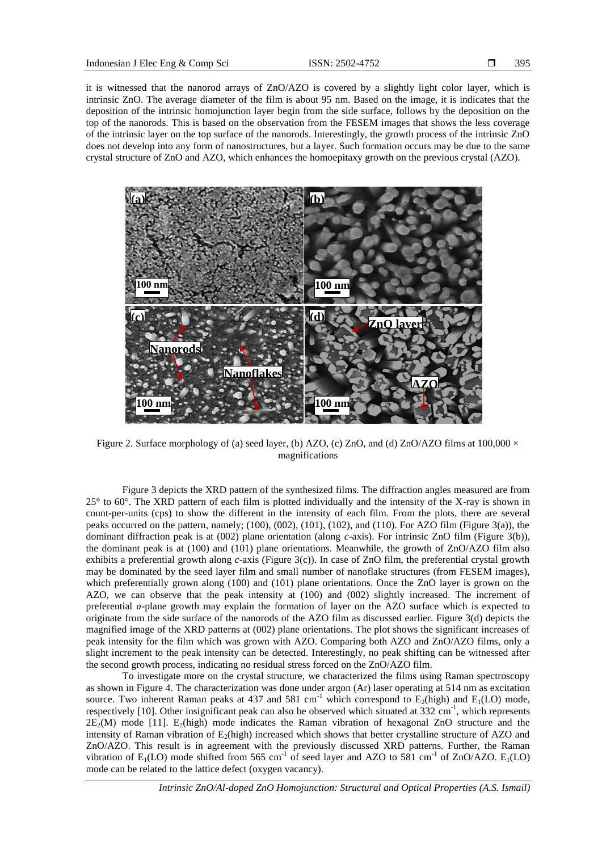it is witnessed that the nanorod arrays of ZnO/AZO is covered by a slightly light color layer, which is intrinsic ZnO. The average diameter of the film is about 95 nm. Based on the image, it is indicates that the deposition of the intrinsic homojunction layer begin from the side surface, follows by the deposition on the top of the nanorods. This is based on the observation from the FESEM images that shows the less coverage of the intrinsic layer on the top surface of the nanorods. Interestingly, the growth process of the intrinsic ZnO does not develop into any form of nanostructures, but a layer. Such formation occurs may be due to the same crystal structure of ZnO and AZO, which enhances the homoepitaxy growth on the previous crystal (AZO).



Figure 2. Surface morphology of (a) seed layer, (b) AZO, (c) ZnO, and (d) ZnO/AZO films at  $100,000 \times$ magnifications

Figure 3 depicts the XRD pattern of the synthesized films. The diffraction angles measured are from 25° to 60°. The XRD pattern of each film is plotted individually and the intensity of the X-ray is shown in count-per-units (cps) to show the different in the intensity of each film. From the plots, there are several peaks occurred on the pattern, namely; (100), (002), (101), (102), and (110). For AZO film (Figure 3(a)), the dominant diffraction peak is at (002) plane orientation (along *c*-axis). For intrinsic ZnO film (Figure 3(b)), the dominant peak is at (100) and (101) plane orientations. Meanwhile, the growth of ZnO/AZO film also exhibits a preferential growth along *c*-axis (Figure 3(c)). In case of ZnO film, the preferential crystal growth may be dominated by the seed layer film and small number of nanoflake structures (from FESEM images), which preferentially grown along (100) and (101) plane orientations. Once the ZnO layer is grown on the AZO, we can observe that the peak intensity at (100) and (002) slightly increased. The increment of preferential *a*-plane growth may explain the formation of layer on the AZO surface which is expected to originate from the side surface of the nanorods of the AZO film as discussed earlier. Figure 3(d) depicts the magnified image of the XRD patterns at (002) plane orientations. The plot shows the significant increases of peak intensity for the film which was grown with AZO. Comparing both AZO and ZnO/AZO films, only a slight increment to the peak intensity can be detected. Interestingly, no peak shifting can be witnessed after the second growth process, indicating no residual stress forced on the ZnO/AZO film.

To investigate more on the crystal structure, we characterized the films using Raman spectroscopy as shown in Figure 4. The characterization was done under argon (Ar) laser operating at 514 nm as excitation source. Two inherent Raman peaks at 437 and 581 cm<sup>-1</sup> which correspond to  $E_2$ (high) and  $E_1$ (LO) mode, respectively [\[10\]](file:///E:/IAES/IJEECS/Oct%202018/51%2014473%20intrinsic%20peoco2018_84.docx%23_ENREF_10). Other insignificant peak can also be observed which situated at 332 cm<sup>-1</sup>, which represents  $2E_2(M)$  mode [\[11\]](file:///E:/IAES/IJEECS/Oct%202018/51%2014473%20intrinsic%20peoco2018_84.docx%23_ENREF_11).  $E_2(high)$  mode indicates the Raman vibration of hexagonal ZnO structure and the intensity of Raman vibration of  $E_2$ (high) increased which shows that better crystalline structure of AZO and ZnO/AZO. This result is in agreement with the previously discussed XRD patterns. Further, the Raman vibration of  $E_1(LO)$  mode shifted from 565 cm<sup>-1</sup> of seed layer and AZO to 581 cm<sup>-1</sup> of ZnO/AZO.  $E_1(LO)$ mode can be related to the lattice defect (oxygen vacancy).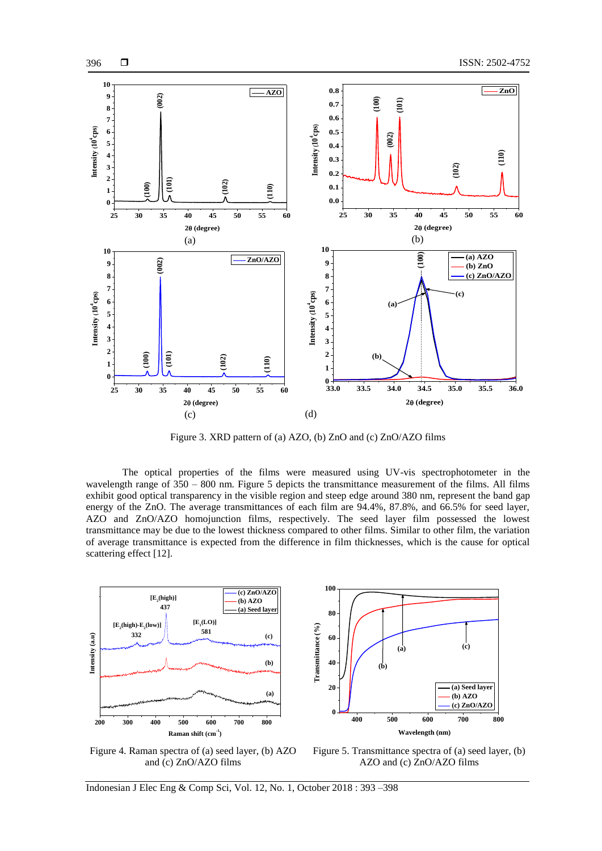

Figure 3. XRD pattern of (a) AZO, (b) ZnO and (c) ZnO/AZO films

The optical properties of the films were measured using UV-vis spectrophotometer in the wavelength range of  $350 - 800$  nm. Figure 5 depicts the transmittance measurement of the films. All films exhibit good optical transparency in the visible region and steep edge around 380 nm, represent the band gap energy of the ZnO. The average transmittances of each film are 94.4%, 87.8%, and 66.5% for seed layer, AZO and ZnO/AZO homojunction films, respectively. The seed layer film possessed the lowest transmittance may be due to the lowest thickness compared to other films. Similar to other film, the variation of average transmittance is expected from the difference in film thicknesses, which is the cause for optical scattering effect [\[12\]](file:///E:/IAES/IJEECS/Oct%202018/51%2014473%20intrinsic%20peoco2018_84.docx%23_ENREF_12).



396

**400 500 600 700 800 0 20 40 60 80 100 (c) (b) (a) Wavelength (nm)**<br> **Transfer and Transfer and Transfer and Transfer and Transfer and Transfer and Transfer and Transfer and Transfer and Transfer and Transfer and Transfer and Transfer and Transf (a) Seed layer (b) AZO (c) ZnO/AZO**

Figure 4. Raman spectra of (a) seed layer, (b) AZO and (c) ZnO/AZO films

Figure 5. Transmittance spectra of (a) seed layer, (b) AZO and (c) ZnO/AZO films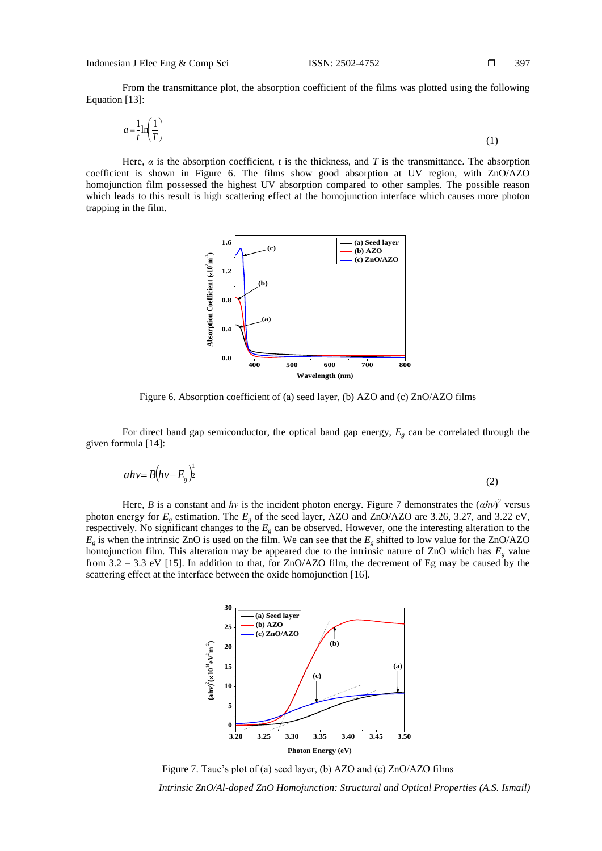From the transmittance plot, the absorption coefficient of the films was plotted using the following Equation [\[13\]](file:///E:/IAES/IJEECS/Oct%202018/51%2014473%20intrinsic%20peoco2018_84.docx%23_ENREF_13):

$$
a = \frac{1}{t} \ln\left(\frac{1}{T}\right) \tag{1}
$$

Here,  $\alpha$  is the absorption coefficient,  $t$  is the thickness, and  $T$  is the transmittance. The absorption coefficient is shown in Figure 6. The films show good absorption at UV region, with ZnO/AZO homojunction film possessed the highest UV absorption compared to other samples. The possible reason which leads to this result is high scattering effect at the homojunction interface which causes more photon trapping in the film.



Figure 6. Absorption coefficient of (a) seed layer, (b) AZO and (c) ZnO/AZO films

For direct band gap semiconductor, the optical band gap energy,  $E<sub>g</sub>$  can be correlated through the given formula [\[14\]](file:///E:/IAES/IJEECS/Oct%202018/51%2014473%20intrinsic%20peoco2018_84.docx%23_ENREF_14):

$$
ahv = B(hv - Eg)^{\frac{1}{2}}
$$
 (2)

Here, *B* is a constant and *hv* is the incident photon energy. Figure 7 demonstrates the  $(ahv)^2$  versus photon energy for  $E_g$  estimation. The  $E_g$  of the seed layer, AZO and ZnO/AZO are 3.26, 3.27, and 3.22 eV, respectively. No significant changes to the *E<sup>g</sup>* can be observed. However, one the interesting alteration to the  $E_g$  is when the intrinsic ZnO is used on the film. We can see that the  $E_g$  shifted to low value for the ZnO/AZO homojunction film. This alteration may be appeared due to the intrinsic nature of ZnO which has *E<sup>g</sup>* value from 3.2 – 3.3 eV [\[15\]](file:///E:/IAES/IJEECS/Oct%202018/51%2014473%20intrinsic%20peoco2018_84.docx%23_ENREF_15). In addition to that, for ZnO/AZO film, the decrement of Eg may be caused by the scattering effect at the interface between the oxide homojunction [\[16\]](file:///E:/IAES/IJEECS/Oct%202018/51%2014473%20intrinsic%20peoco2018_84.docx%23_ENREF_16).



Figure 7. Tauc's plot of (a) seed layer, (b) AZO and (c) ZnO/AZO films

*Intrinsic ZnO/Al-doped ZnO Homojunction: Structural and Optical Properties (A.S. Ismail)*